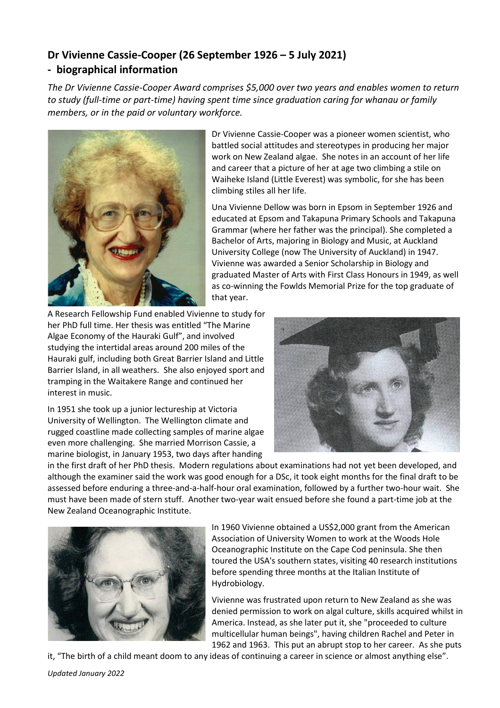## **Dr Vivienne Cassie-Cooper (26 September 1926 – 5 July 2021) - biographical information**

*The Dr Vivienne Cassie-Cooper Award comprises \$5,000 over two years and enables women to return to study (full-time or part-time) having spent time since graduation caring for whanau or family members, or in the paid or voluntary workforce.*



Dr Vivienne Cassie-Cooper was a pioneer women scientist, who battled social attitudes and stereotypes in producing her major work on New Zealand algae. She notes in an account of her life and career that a picture of her at age two climbing a stile on Waiheke Island (Little Everest) was symbolic, for she has been climbing stiles all her life.

Una Vivienne Dellow was born in Epsom in September 1926 and educated at Epsom and Takapuna Primary Schools and Takapuna Grammar (where her father was the principal). She completed a Bachelor of Arts, majoring in Biology and Music, at Auckland University College (now The University of Auckland) in 1947. Vivienne was awarded a Senior Scholarship in Biology and graduated Master of Arts with First Class Honours in 1949, as well as co-winning the Fowlds Memorial Prize for the top graduate of that year.

A Research Fellowship Fund enabled Vivienne to study for her PhD full time. Her thesis was entitled "The Marine Algae Economy of the Hauraki Gulf", and involved studying the intertidal areas around 200 miles of the Hauraki gulf, including both Great Barrier Island and Little Barrier Island, in all weathers. She also enjoyed sport and tramping in the Waitakere Range and continued her interest in music.

In 1951 she took up a junior lectureship at Victoria University of Wellington. The Wellington climate and rugged coastline made collecting samples of marine algae even more challenging. She married Morrison Cassie, a marine biologist, in January 1953, two days after handing



in the first draft of her PhD thesis. Modern regulations about examinations had not yet been developed, and although the examiner said the work was good enough for a DSc, it took eight months for the final draft to be assessed before enduring a three-and-a-half-hour oral examination, followed by a further two-hour wait. She must have been made of stern stuff. Another two-year wait ensued before she found a part-time job at the New Zealand Oceanographic Institute.



In 1960 Vivienne obtained a US\$2,000 grant from the American Association of University Women to work at the Woods Hole Oceanographic Institute on the Cape Cod peninsula. She then toured the USA's southern states, visiting 40 research institutions before spending three months at the Italian Institute of Hydrobiology.

Vivienne was frustrated upon return to New Zealand as she was denied permission to work on algal culture, skills acquired whilst in America. Instead, as she later put it, she "proceeded to culture multicellular human beings", having children Rachel and Peter in 1962 and 1963. This put an abrupt stop to her career. As she puts

it, "The birth of a child meant doom to any ideas of continuing a career in science or almost anything else".